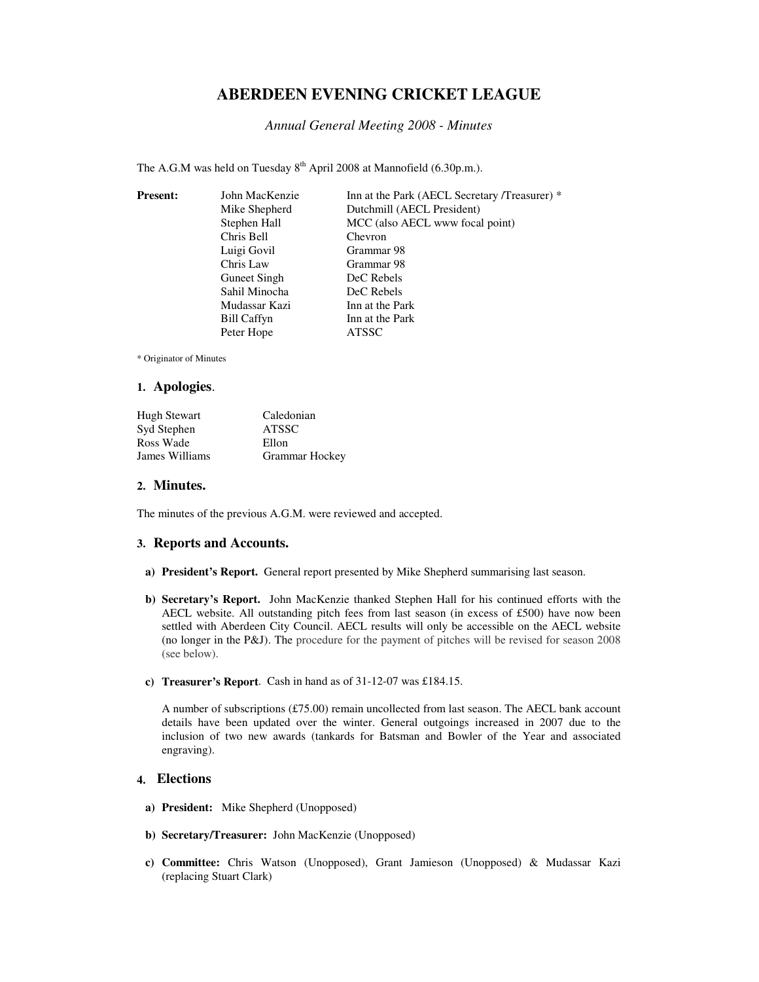# **ABERDEEN EVENING CRICKET LEAGUE**

#### *Annual General Meeting 2008 - Minutes*

The A.G.M was held on Tuesday  $8^{th}$  April 2008 at Mannofield (6.30p.m.).

| <b>Present:</b> | John MacKenzie      | Inn at the Park (AECL Secretary /Treasurer) * |
|-----------------|---------------------|-----------------------------------------------|
|                 | Mike Shepherd       | Dutchmill (AECL President)                    |
|                 | Stephen Hall        | MCC (also AECL www focal point)               |
|                 | Chris Bell          | Chevron                                       |
|                 | Luigi Govil         | Grammar 98                                    |
|                 | Chris Law           | Grammar 98                                    |
|                 | <b>Guneet Singh</b> | DeC Rebels                                    |
|                 | Sahil Minocha       | DeC Rebels                                    |
|                 | Mudassar Kazi       | Inn at the Park                               |
|                 | <b>Bill Caffyn</b>  | Inn at the Park                               |
|                 | Peter Hope          | ATSSC                                         |

\* Originator of Minutes

#### **1. Apologies**.

| <b>Hugh Stewart</b> | Caledonian     |
|---------------------|----------------|
| Syd Stephen         | <b>ATSSC</b>   |
| Ross Wade           | Ellon          |
| James Williams      | Grammar Hockey |

#### **2. Minutes.**

The minutes of the previous A.G.M. were reviewed and accepted.

#### **3. Reports and Accounts.**

- **a) President's Report.** General report presented by Mike Shepherd summarising last season.
- **b) Secretary's Report.** John MacKenzie thanked Stephen Hall for his continued efforts with the AECL website. All outstanding pitch fees from last season (in excess of £500) have now been settled with Aberdeen City Council. AECL results will only be accessible on the AECL website (no longer in the P&J). The procedure for the payment of pitches will be revised for season 2008 (see below).
- **c) Treasurer's Report**. Cash in hand as of 31-12-07 was £184.15.

A number of subscriptions (£75.00) remain uncollected from last season. The AECL bank account details have been updated over the winter. General outgoings increased in 2007 due to the inclusion of two new awards (tankards for Batsman and Bowler of the Year and associated engraving).

#### **4. Elections**

- **a) President:** Mike Shepherd (Unopposed)
- **b) Secretary/Treasurer:** John MacKenzie (Unopposed)
- **c) Committee:** Chris Watson (Unopposed), Grant Jamieson (Unopposed) & Mudassar Kazi (replacing Stuart Clark)